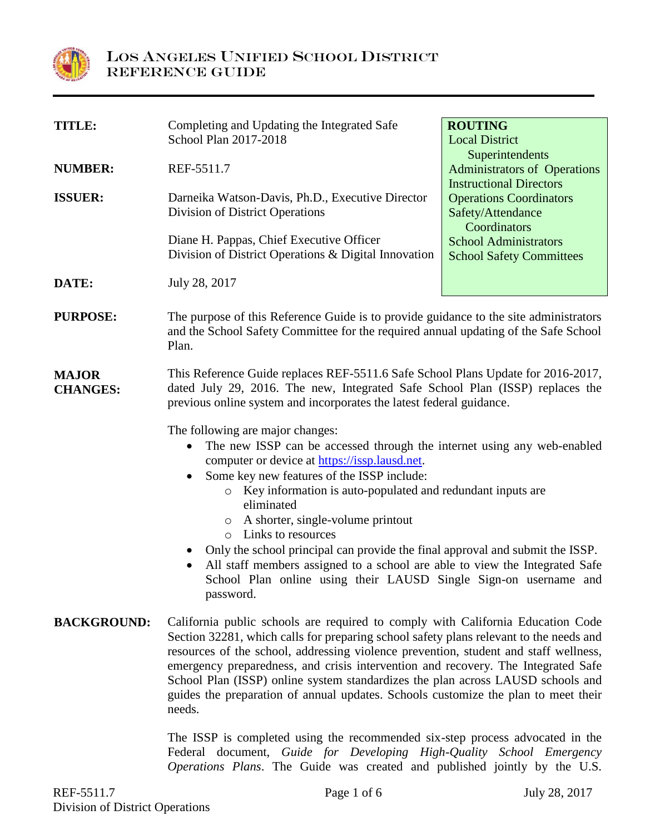

| <b>TITLE:</b>                   | Completing and Updating the Integrated Safe                                                                                                                                                                                                                                                                                                                                                                                                                                                                                                                                                                                                                                    | <b>ROUTING</b>                                         |  |  |  |
|---------------------------------|--------------------------------------------------------------------------------------------------------------------------------------------------------------------------------------------------------------------------------------------------------------------------------------------------------------------------------------------------------------------------------------------------------------------------------------------------------------------------------------------------------------------------------------------------------------------------------------------------------------------------------------------------------------------------------|--------------------------------------------------------|--|--|--|
|                                 | School Plan 2017-2018                                                                                                                                                                                                                                                                                                                                                                                                                                                                                                                                                                                                                                                          | <b>Local District</b>                                  |  |  |  |
| <b>NUMBER:</b>                  | REF-5511.7                                                                                                                                                                                                                                                                                                                                                                                                                                                                                                                                                                                                                                                                     | Superintendents<br><b>Administrators of Operations</b> |  |  |  |
|                                 |                                                                                                                                                                                                                                                                                                                                                                                                                                                                                                                                                                                                                                                                                | <b>Instructional Directors</b>                         |  |  |  |
| <b>ISSUER:</b>                  | Darneika Watson-Davis, Ph.D., Executive Director                                                                                                                                                                                                                                                                                                                                                                                                                                                                                                                                                                                                                               | <b>Operations Coordinators</b>                         |  |  |  |
|                                 | Division of District Operations                                                                                                                                                                                                                                                                                                                                                                                                                                                                                                                                                                                                                                                | Safety/Attendance<br>Coordinators                      |  |  |  |
|                                 | Diane H. Pappas, Chief Executive Officer                                                                                                                                                                                                                                                                                                                                                                                                                                                                                                                                                                                                                                       | <b>School Administrators</b>                           |  |  |  |
|                                 | Division of District Operations & Digital Innovation                                                                                                                                                                                                                                                                                                                                                                                                                                                                                                                                                                                                                           | <b>School Safety Committees</b>                        |  |  |  |
| DATE:                           | July 28, 2017                                                                                                                                                                                                                                                                                                                                                                                                                                                                                                                                                                                                                                                                  |                                                        |  |  |  |
| <b>PURPOSE:</b>                 | The purpose of this Reference Guide is to provide guidance to the site administrators<br>and the School Safety Committee for the required annual updating of the Safe School<br>Plan.                                                                                                                                                                                                                                                                                                                                                                                                                                                                                          |                                                        |  |  |  |
| <b>MAJOR</b><br><b>CHANGES:</b> | This Reference Guide replaces REF-5511.6 Safe School Plans Update for 2016-2017,<br>dated July 29, 2016. The new, Integrated Safe School Plan (ISSP) replaces the<br>previous online system and incorporates the latest federal guidance.                                                                                                                                                                                                                                                                                                                                                                                                                                      |                                                        |  |  |  |
|                                 | The following are major changes:<br>The new ISSP can be accessed through the internet using any web-enabled<br>$\bullet$<br>computer or device at https://issp.lausd.net.<br>Some key new features of the ISSP include:<br>$\bullet$<br>Key information is auto-populated and redundant inputs are<br>$\circ$<br>eliminated<br>o A shorter, single-volume printout<br>Links to resources<br>$\circ$<br>Only the school principal can provide the final approval and submit the ISSP.<br>$\bullet$<br>All staff members assigned to a school are able to view the Integrated Safe<br>$\bullet$<br>School Plan online using their LAUSD Single Sign-on username and<br>password. |                                                        |  |  |  |
| <b>BACKGROUND:</b>              | California public schools are required to comply with California Education Code<br>Section 32281, which calls for preparing school safety plans relevant to the needs and<br>resources of the school, addressing violence prevention, student and staff wellness,<br>emergency preparedness, and crisis intervention and recovery. The Integrated Safe<br>School Plan (ISSP) online system standardizes the plan across LAUSD schools and<br>guides the preparation of annual updates. Schools customize the plan to meet their                                                                                                                                                |                                                        |  |  |  |

The ISSP is completed using the recommended six-step process advocated in the Federal document, *Guide for Developing High-Quality School Emergency Operations Plans*. The Guide was created and published jointly by the U.S.

needs.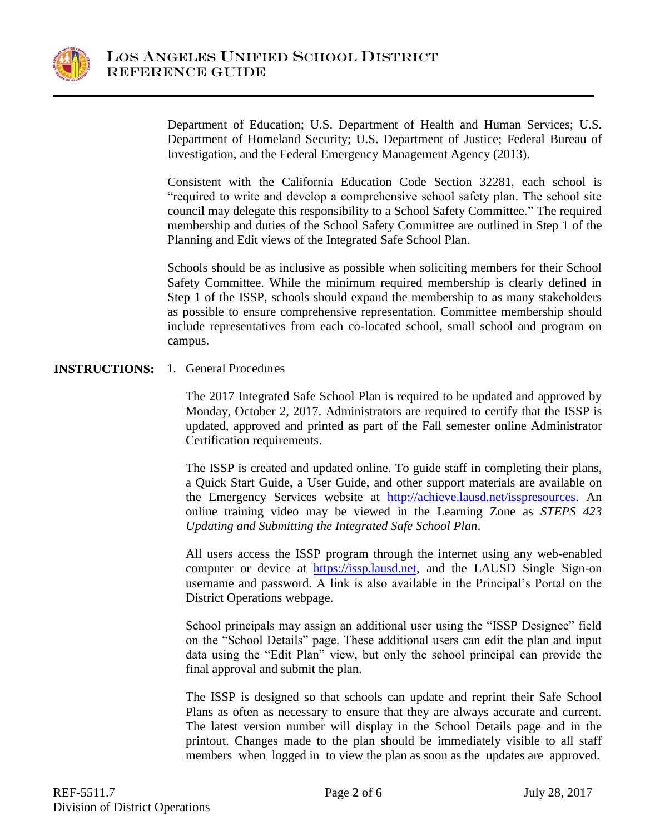

Department of Education; U.S. Department of Health and Human Services; U.S. Department of Homeland Security; U.S. Department of Justice; Federal Bureau of Investigation, and the Federal Emergency Management Agency (2013).

Consistent with the California Education Code Section 32281, each school is "required to write and develop a comprehensive school safety plan. The school site council may delegate this responsibility to a School Safety Committee." The required membership and duties of the School Safety Committee are outlined in Step 1 of the Planning and Edit views of the Integrated Safe School Plan.

Schools should be as inclusive as possible when soliciting members for their School Safety Committee. While the minimum required membership is clearly defined in Step 1 of the ISSP, schools should expand the membership to as many stakeholders as possible to ensure comprehensive representation. Committee membership should include representatives from each co-located school, small school and program on campus.

## **INSTRUCTIONS:** 1. General Procedures

The 2017 Integrated Safe School Plan is required to be updated and approved by Monday, October 2, 2017. Administrators are required to certify that the ISSP is updated, approved and printed as part of the Fall semester online Administrator Certification requirements.

The ISSP is created and updated online. To guide staff in completing their plans, a Quick Start Guide, a User Guide, and other support materials are available on the Emergency Services website at [http://achieve.lausd.net/isspresources.](http://achieve.lausd.net/isspresources) An online training video may be viewed in the Learning Zone as *STEPS 423 Updating and Submitting the Integrated Safe School Plan*.

All users access the ISSP program through the internet using any web-enabled computer or device at [https://issp.lausd.net,](https://issp.lausd.net/) and the LAUSD Single Sign-on username and password. A link is also available in the Principal's Portal on the District Operations webpage.

School principals may assign an additional user using the "ISSP Designee" field on the "School Details" page. These additional users can edit the plan and input data using the "Edit Plan" view, but only the school principal can provide the final approval and submit the plan.

The ISSP is designed so that schools can update and reprint their Safe School Plans as often as necessary to ensure that they are always accurate and current. The latest version number will display in the School Details page and in the printout. Changes made to the plan should be immediately visible to all staff members when logged in to view the plan as soon as the updates are approved.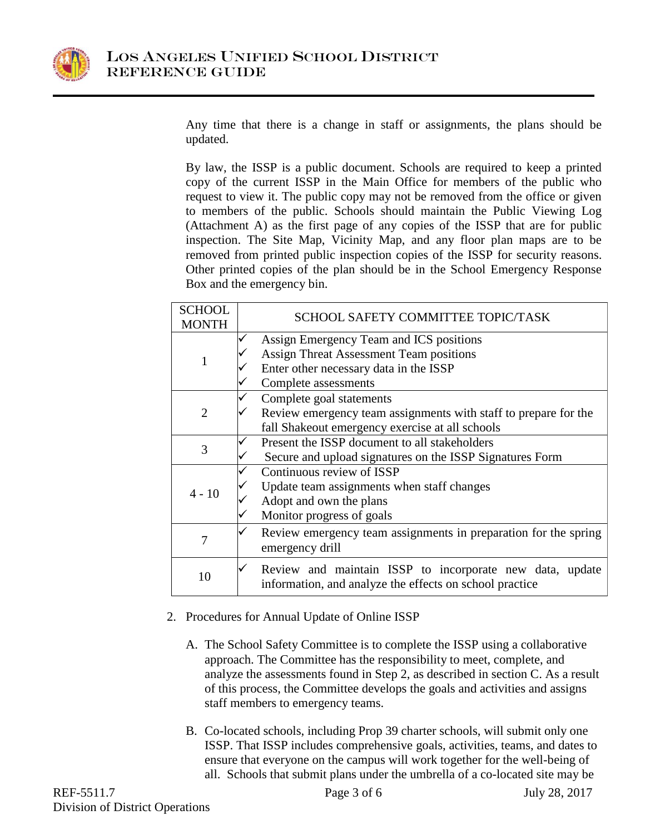

Any time that there is a change in staff or assignments, the plans should be updated.

By law, the ISSP is a public document. Schools are required to keep a printed copy of the current ISSP in the Main Office for members of the public who request to view it. The public copy may not be removed from the office or given to members of the public. Schools should maintain the Public Viewing Log (Attachment A) as the first page of any copies of the ISSP that are for public inspection. The Site Map, Vicinity Map, and any floor plan maps are to be removed from printed public inspection copies of the ISSP for security reasons. Other printed copies of the plan should be in the School Emergency Response Box and the emergency bin.

| <b>SCHOOL</b><br><b>MONTH</b> | SCHOOL SAFETY COMMITTEE TOPIC/TASK                                                                                  |  |
|-------------------------------|---------------------------------------------------------------------------------------------------------------------|--|
| 1                             | Assign Emergency Team and ICS positions                                                                             |  |
|                               | <b>Assign Threat Assessment Team positions</b>                                                                      |  |
|                               | Enter other necessary data in the ISSP                                                                              |  |
|                               | Complete assessments                                                                                                |  |
| $\overline{2}$                | Complete goal statements                                                                                            |  |
|                               | Review emergency team assignments with staff to prepare for the                                                     |  |
|                               | fall Shakeout emergency exercise at all schools                                                                     |  |
| 3                             | Present the ISSP document to all stakeholders                                                                       |  |
|                               | Secure and upload signatures on the ISSP Signatures Form                                                            |  |
| $4 - 10$                      | Continuous review of ISSP                                                                                           |  |
|                               | Update team assignments when staff changes                                                                          |  |
|                               | Adopt and own the plans                                                                                             |  |
|                               | Monitor progress of goals                                                                                           |  |
| 7                             | Review emergency team assignments in preparation for the spring                                                     |  |
|                               | emergency drill                                                                                                     |  |
| 10                            | Review and maintain ISSP to incorporate new data, update<br>information, and analyze the effects on school practice |  |

- 2. Procedures for Annual Update of Online ISSP
	- A. The School Safety Committee is to complete the ISSP using a collaborative approach. The Committee has the responsibility to meet, complete, and analyze the assessments found in Step 2, as described in section C. As a result of this process, the Committee develops the goals and activities and assigns staff members to emergency teams.
	- B. Co-located schools, including Prop 39 charter schools, will submit only one ISSP. That ISSP includes comprehensive goals, activities, teams, and dates to ensure that everyone on the campus will work together for the well-being of all. Schools that submit plans under the umbrella of a co-located site may be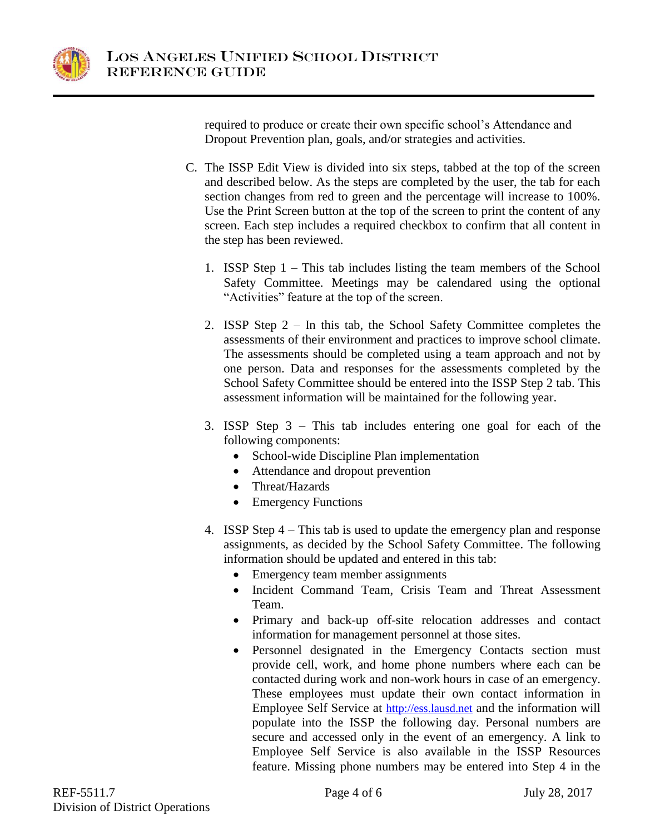

required to produce or create their own specific school's Attendance and Dropout Prevention plan, goals, and/or strategies and activities.

- C. The ISSP Edit View is divided into six steps, tabbed at the top of the screen and described below. As the steps are completed by the user, the tab for each section changes from red to green and the percentage will increase to 100%. Use the Print Screen button at the top of the screen to print the content of any screen. Each step includes a required checkbox to confirm that all content in the step has been reviewed.
	- 1. ISSP Step 1 This tab includes listing the team members of the School Safety Committee. Meetings may be calendared using the optional "Activities" feature at the top of the screen.
	- 2. ISSP Step 2 In this tab, the School Safety Committee completes the assessments of their environment and practices to improve school climate. The assessments should be completed using a team approach and not by one person. Data and responses for the assessments completed by the School Safety Committee should be entered into the ISSP Step 2 tab. This assessment information will be maintained for the following year.
	- 3. ISSP Step 3 This tab includes entering one goal for each of the following components:
		- School-wide Discipline Plan implementation
		- Attendance and dropout prevention
		- Threat/Hazards
		- Emergency Functions
	- 4. ISSP Step 4 This tab is used to update the emergency plan and response assignments, as decided by the School Safety Committee. The following information should be updated and entered in this tab:
		- Emergency team member assignments
		- Incident Command Team, Crisis Team and Threat Assessment Team.
		- Primary and back-up off-site relocation addresses and contact information for management personnel at those sites.
		- Personnel designated in the Emergency Contacts section must provide cell, work, and home phone numbers where each can be contacted during work and non-work hours in case of an emergency. These employees must update their own contact information in Employee Self Service at [http://ess.lausd.net](http://ess.lausd.net/) and the information will populate into the ISSP the following day. Personal numbers are secure and accessed only in the event of an emergency. A link to Employee Self Service is also available in the ISSP Resources feature. Missing phone numbers may be entered into Step 4 in the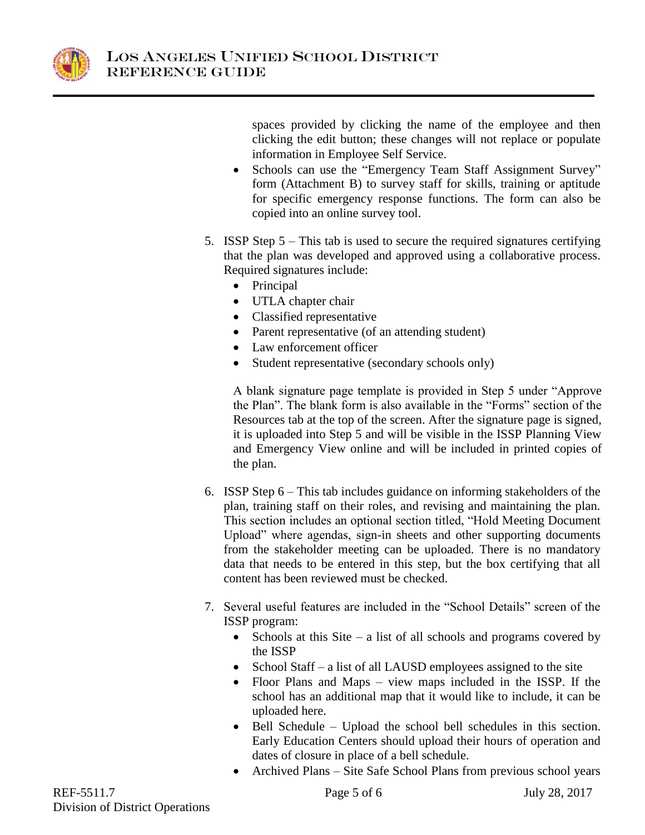

spaces provided by clicking the name of the employee and then clicking the edit button; these changes will not replace or populate information in Employee Self Service.

- Schools can use the "Emergency Team Staff Assignment Survey" form (Attachment B) to survey staff for skills, training or aptitude for specific emergency response functions. The form can also be copied into an online survey tool.
- 5. ISSP Step 5 This tab is used to secure the required signatures certifying that the plan was developed and approved using a collaborative process. Required signatures include:
	- Principal
	- UTLA chapter chair
	- Classified representative
	- Parent representative (of an attending student)
	- Law enforcement officer
	- Student representative (secondary schools only)

A blank signature page template is provided in Step 5 under "Approve the Plan". The blank form is also available in the "Forms" section of the Resources tab at the top of the screen. After the signature page is signed, it is uploaded into Step 5 and will be visible in the ISSP Planning View and Emergency View online and will be included in printed copies of the plan.

- 6. ISSP Step 6 This tab includes guidance on informing stakeholders of the plan, training staff on their roles, and revising and maintaining the plan. This section includes an optional section titled, "Hold Meeting Document Upload" where agendas, sign-in sheets and other supporting documents from the stakeholder meeting can be uploaded. There is no mandatory data that needs to be entered in this step, but the box certifying that all content has been reviewed must be checked.
- 7. Several useful features are included in the "School Details" screen of the ISSP program:
	- Schools at this Site a list of all schools and programs covered by the ISSP
	- School Staff a list of all LAUSD employees assigned to the site
	- Floor Plans and Maps view maps included in the ISSP. If the school has an additional map that it would like to include, it can be uploaded here.
	- Bell Schedule Upload the school bell schedules in this section. Early Education Centers should upload their hours of operation and dates of closure in place of a bell schedule.
	- Archived Plans Site Safe School Plans from previous school years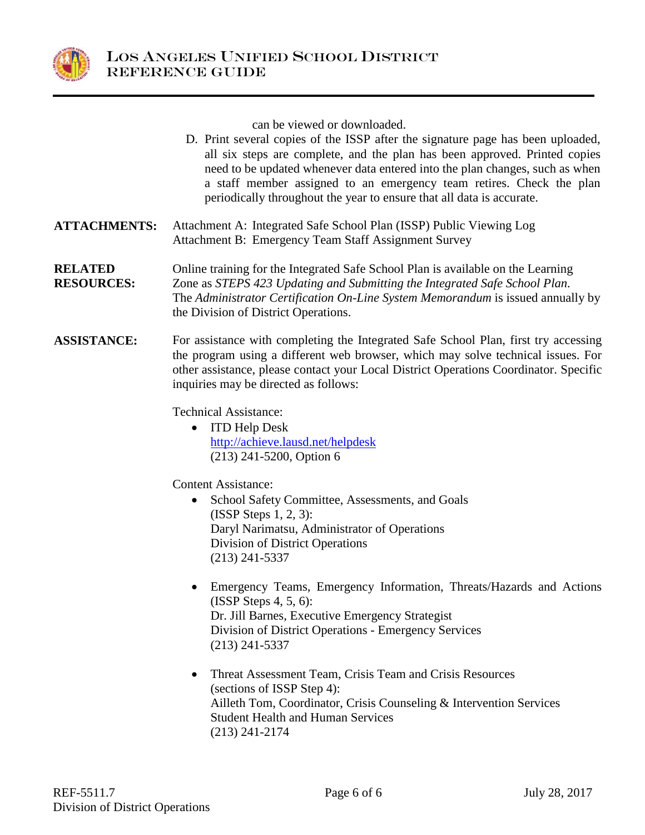

can be viewed or downloaded.

- D. Print several copies of the ISSP after the signature page has been uploaded, all six steps are complete, and the plan has been approved. Printed copies need to be updated whenever data entered into the plan changes, such as when a staff member assigned to an emergency team retires. Check the plan periodically throughout the year to ensure that all data is accurate.
- **ATTACHMENTS:** Attachment A: Integrated Safe School Plan (ISSP) Public Viewing Log Attachment B: Emergency Team Staff Assignment Survey
- **RELATED RESOURCES:** Online training for the Integrated Safe School Plan is available on the Learning Zone as *STEPS 423 Updating and Submitting the Integrated Safe School Plan.* The *Administrator Certification On-Line System Memorandum* is issued annually by the Division of District Operations.
- **ASSISTANCE:** For assistance with completing the Integrated Safe School Plan, first try accessing the program using a different web browser, which may solve technical issues. For other assistance, please contact your Local District Operations Coordinator. Specific inquiries may be directed as follows:

Technical Assistance:

• ITD Help Desk <http://achieve.lausd.net/helpdesk> (213) 241-5200, Option 6

Content Assistance:

- School Safety Committee, Assessments, and Goals (ISSP Steps 1, 2, 3): Daryl Narimatsu, Administrator of Operations Division of District Operations (213) 241-5337
- Emergency Teams, Emergency Information, Threats/Hazards and Actions (ISSP Steps 4, 5, 6): Dr. Jill Barnes, Executive Emergency Strategist Division of District Operations - Emergency Services (213) 241-5337
- Threat Assessment Team, Crisis Team and Crisis Resources (sections of ISSP Step 4): Ailleth Tom, Coordinator, Crisis Counseling & Intervention Services Student Health and Human Services (213) 241-2174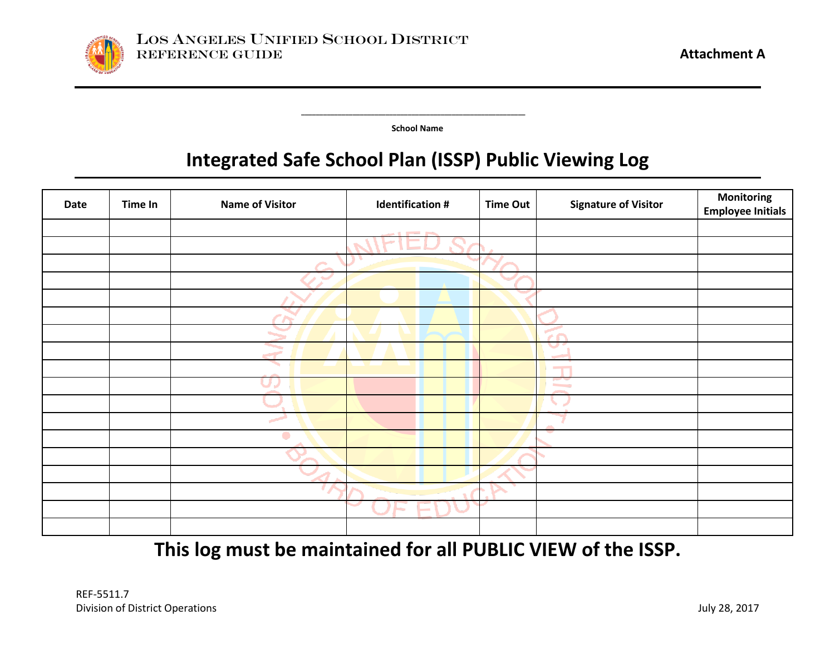

 **\_\_\_\_\_\_\_\_\_\_\_\_\_\_\_\_\_\_\_\_\_\_\_\_\_\_\_\_\_\_\_\_\_\_\_\_\_\_\_\_\_\_\_\_\_\_\_\_\_\_\_\_\_\_\_\_\_\_\_\_\_**

**School Name**

# **Integrated Safe School Plan (ISSP) Public Viewing Log**

| Date | Time In | <b>Name of Visitor</b>   | <b>Identification #</b>           | <b>Time Out</b> | <b>Signature of Visitor</b>       | <b>Monitoring</b><br><b>Employee Initials</b> |
|------|---------|--------------------------|-----------------------------------|-----------------|-----------------------------------|-----------------------------------------------|
|      |         |                          | $\sim$ $\sim$ $\sim$              |                 |                                   |                                               |
|      |         |                          |                                   |                 |                                   |                                               |
|      |         | $\sim$                   |                                   |                 |                                   |                                               |
|      |         | $\overline{\phantom{a}}$ |                                   |                 |                                   |                                               |
|      |         |                          |                                   |                 |                                   |                                               |
|      |         |                          |                                   |                 |                                   |                                               |
|      |         |                          |                                   |                 | $\sim$<br>$\overline{1}$          |                                               |
|      |         |                          |                                   |                 | $\tilde{\phantom{a}}$             |                                               |
|      |         |                          |                                   |                 |                                   |                                               |
|      |         |                          |                                   |                 | <b>Contract Contract Contract</b> |                                               |
|      |         |                          |                                   |                 |                                   |                                               |
|      |         |                          |                                   |                 |                                   |                                               |
|      |         |                          |                                   |                 |                                   |                                               |
|      |         |                          |                                   |                 |                                   |                                               |
|      |         |                          |                                   |                 |                                   |                                               |
|      |         |                          |                                   | D.              |                                   |                                               |
|      |         |                          | <b>Contract Contract Contract</b> |                 |                                   |                                               |
|      |         |                          |                                   |                 |                                   |                                               |

**This log must be maintained for all PUBLIC VIEW of the ISSP.**